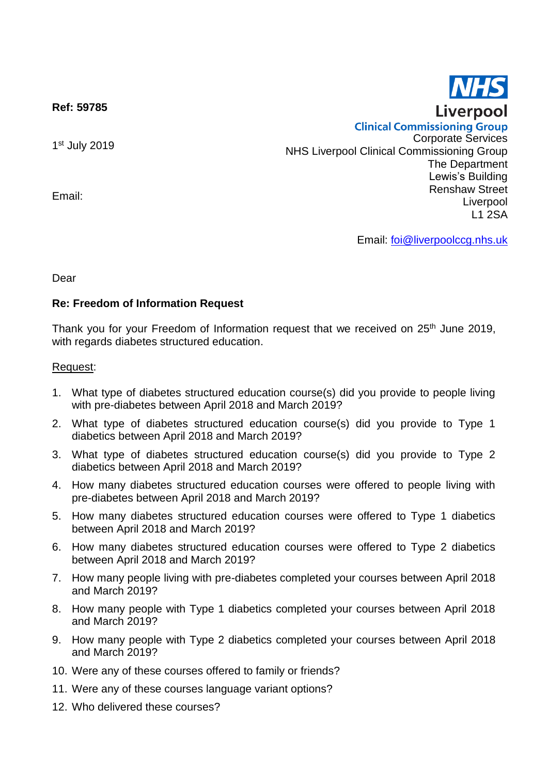**Ref: 59785**

1st July 2019

Email:

**Clinical Commissioning Group** Corporate Services NHS Liverpool Clinical Commissioning Group The Department Lewis's Building Renshaw Street Liverpool L1 2SA

Email: [foi@liverpoolccg.nhs.uk](mailto:foi@liverpoolccg.nhs.uk)

Dear

## **Re: Freedom of Information Request**

Thank you for your Freedom of Information request that we received on 25<sup>th</sup> June 2019, with regards diabetes structured education.

## Request:

- 1. What type of diabetes structured education course(s) did you provide to people living with pre-diabetes between April 2018 and March 2019?
- 2. What type of diabetes structured education course(s) did you provide to Type 1 diabetics between April 2018 and March 2019?
- 3. What type of diabetes structured education course(s) did you provide to Type 2 diabetics between April 2018 and March 2019?
- 4. How many diabetes structured education courses were offered to people living with pre-diabetes between April 2018 and March 2019?
- 5. How many diabetes structured education courses were offered to Type 1 diabetics between April 2018 and March 2019?
- 6. How many diabetes structured education courses were offered to Type 2 diabetics between April 2018 and March 2019?
- 7. How many people living with pre-diabetes completed your courses between April 2018 and March 2019?
- 8. How many people with Type 1 diabetics completed your courses between April 2018 and March 2019?
- 9. How many people with Type 2 diabetics completed your courses between April 2018 and March 2019?
- 10. Were any of these courses offered to family or friends?
- 11. Were any of these courses language variant options?
- 12. Who delivered these courses?